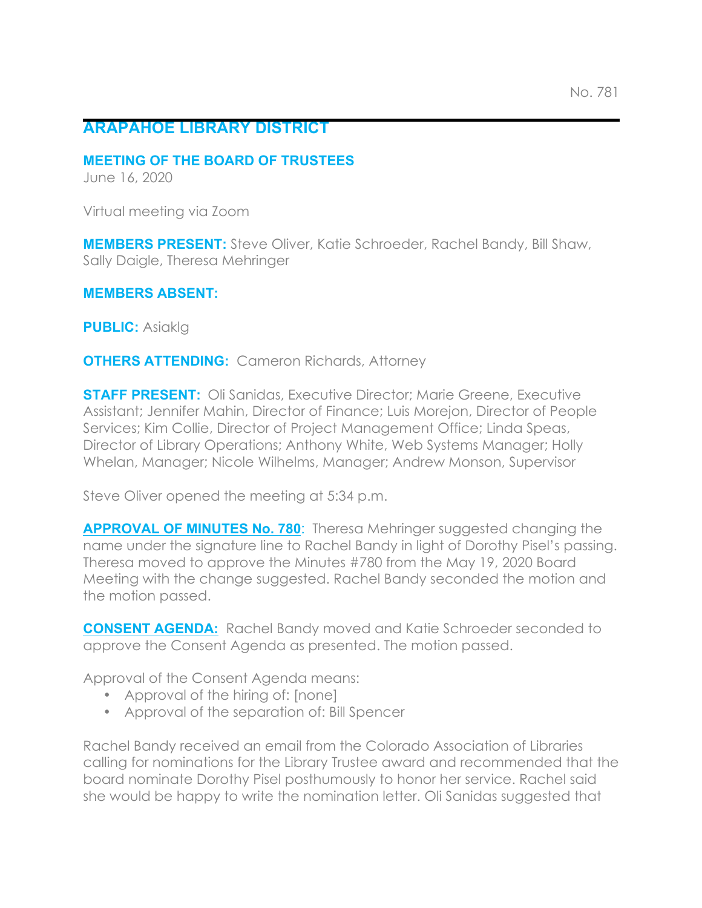## **ARAPAHOE LIBRARY DISTRICT**

## **MEETING OF THE BOARD OF TRUSTEES**

June 16, 2020

Virtual meeting via Zoom

**MEMBERS PRESENT:** Steve Oliver, Katie Schroeder, Rachel Bandy, Bill Shaw, Sally Daigle, Theresa Mehringer

**MEMBERS ABSENT:**

**PUBLIC:** Asiaklg

**OTHERS ATTENDING:** Cameron Richards, Attorney

**STAFF PRESENT:** Oli Sanidas, Executive Director; Marie Greene, Executive Assistant; Jennifer Mahin, Director of Finance; Luis Morejon, Director of People Services; Kim Collie, Director of Project Management Office; Linda Speas, Director of Library Operations; Anthony White, Web Systems Manager; Holly Whelan, Manager; Nicole Wilhelms, Manager; Andrew Monson, Supervisor

Steve Oliver opened the meeting at 5:34 p.m.

**APPROVAL OF MINUTES No. 780**: Theresa Mehringer suggested changing the name under the signature line to Rachel Bandy in light of Dorothy Pisel's passing. Theresa moved to approve the Minutes #780 from the May 19, 2020 Board Meeting with the change suggested. Rachel Bandy seconded the motion and the motion passed.

**CONSENT AGENDA:** Rachel Bandy moved and Katie Schroeder seconded to approve the Consent Agenda as presented. The motion passed.

Approval of the Consent Agenda means:

- Approval of the hiring of: [none]
- Approval of the separation of: Bill Spencer

Rachel Bandy received an email from the Colorado Association of Libraries calling for nominations for the Library Trustee award and recommended that the board nominate Dorothy Pisel posthumously to honor her service. Rachel said she would be happy to write the nomination letter. Oli Sanidas suggested that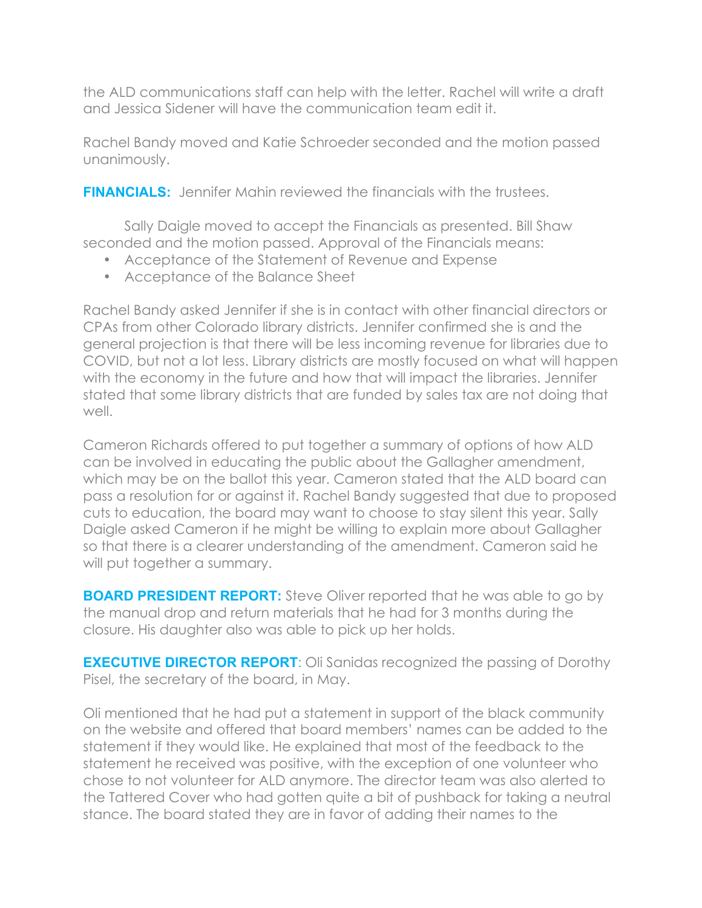the ALD communications staff can help with the letter. Rachel will write a draft and Jessica Sidener will have the communication team edit it.

Rachel Bandy moved and Katie Schroeder seconded and the motion passed unanimously.

**FINANCIALS:** Jennifer Mahin reviewed the financials with the trustees.

Sally Daigle moved to accept the Financials as presented. Bill Shaw seconded and the motion passed. Approval of the Financials means:

- Acceptance of the Statement of Revenue and Expense
- Acceptance of the Balance Sheet

Rachel Bandy asked Jennifer if she is in contact with other financial directors or CPAs from other Colorado library districts. Jennifer confirmed she is and the general projection is that there will be less incoming revenue for libraries due to COVID, but not a lot less. Library districts are mostly focused on what will happen with the economy in the future and how that will impact the libraries. Jennifer stated that some library districts that are funded by sales tax are not doing that well.

Cameron Richards offered to put together a summary of options of how ALD can be involved in educating the public about the Gallagher amendment, which may be on the ballot this year. Cameron stated that the ALD board can pass a resolution for or against it. Rachel Bandy suggested that due to proposed cuts to education, the board may want to choose to stay silent this year. Sally Daigle asked Cameron if he might be willing to explain more about Gallagher so that there is a clearer understanding of the amendment. Cameron said he will put together a summary.

**BOARD PRESIDENT REPORT:** Steve Oliver reported that he was able to go by the manual drop and return materials that he had for 3 months during the closure. His daughter also was able to pick up her holds.

**EXECUTIVE DIRECTOR REPORT:** Oli Sanidas recognized the passing of Dorothy Pisel, the secretary of the board, in May.

Oli mentioned that he had put a statement in support of the black community on the website and offered that board members' names can be added to the statement if they would like. He explained that most of the feedback to the statement he received was positive, with the exception of one volunteer who chose to not volunteer for ALD anymore. The director team was also alerted to the Tattered Cover who had gotten quite a bit of pushback for taking a neutral stance. The board stated they are in favor of adding their names to the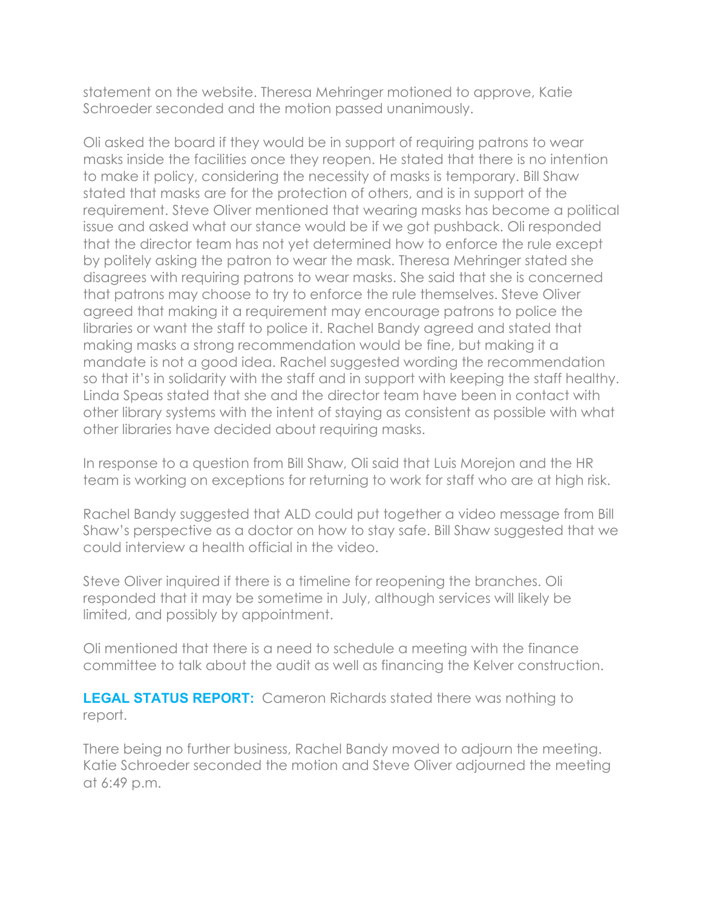statement on the website. Theresa Mehringer motioned to approve, Katie Schroeder seconded and the motion passed unanimously.

Oli asked the board if they would be in support of requiring patrons to wear masks inside the facilities once they reopen. He stated that there is no intention to make it policy, considering the necessity of masks is temporary. Bill Shaw stated that masks are for the protection of others, and is in support of the requirement. Steve Oliver mentioned that wearing masks has become a political issue and asked what our stance would be if we got pushback. Oli responded that the director team has not yet determined how to enforce the rule except by politely asking the patron to wear the mask. Theresa Mehringer stated she disagrees with requiring patrons to wear masks. She said that she is concerned that patrons may choose to try to enforce the rule themselves. Steve Oliver agreed that making it a requirement may encourage patrons to police the libraries or want the staff to police it. Rachel Bandy agreed and stated that making masks a strong recommendation would be fine, but making it a mandate is not a good idea. Rachel suggested wording the recommendation so that it's in solidarity with the staff and in support with keeping the staff healthy. Linda Speas stated that she and the director team have been in contact with other library systems with the intent of staying as consistent as possible with what other libraries have decided about requiring masks.

In response to a question from Bill Shaw, Oli said that Luis Morejon and the HR team is working on exceptions for returning to work for staff who are at high risk.

Rachel Bandy suggested that ALD could put together a video message from Bill Shaw's perspective as a doctor on how to stay safe. Bill Shaw suggested that we could interview a health official in the video.

Steve Oliver inquired if there is a timeline for reopening the branches. Oli responded that it may be sometime in July, although services will likely be limited, and possibly by appointment.

Oli mentioned that there is a need to schedule a meeting with the finance committee to talk about the audit as well as financing the Kelver construction.

**LEGAL STATUS REPORT:** Cameron Richards stated there was nothing to report.

There being no further business, Rachel Bandy moved to adjourn the meeting. Katie Schroeder seconded the motion and Steve Oliver adjourned the meeting at 6:49 p.m.